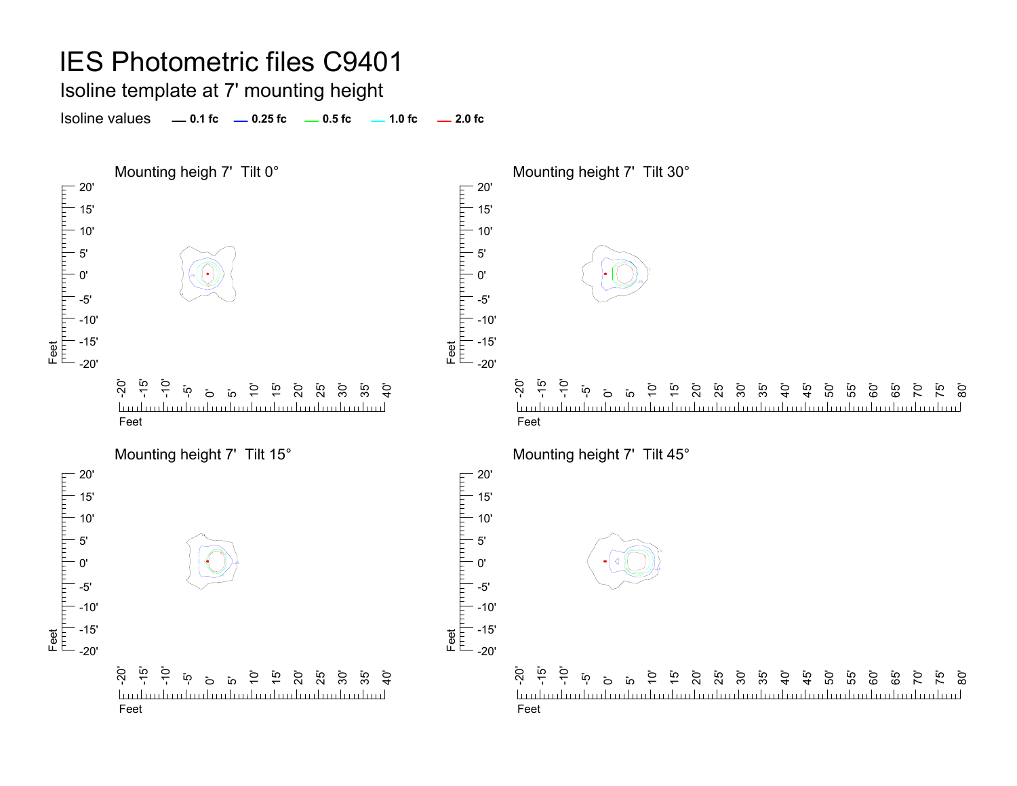Isoline template at 7' mounting height

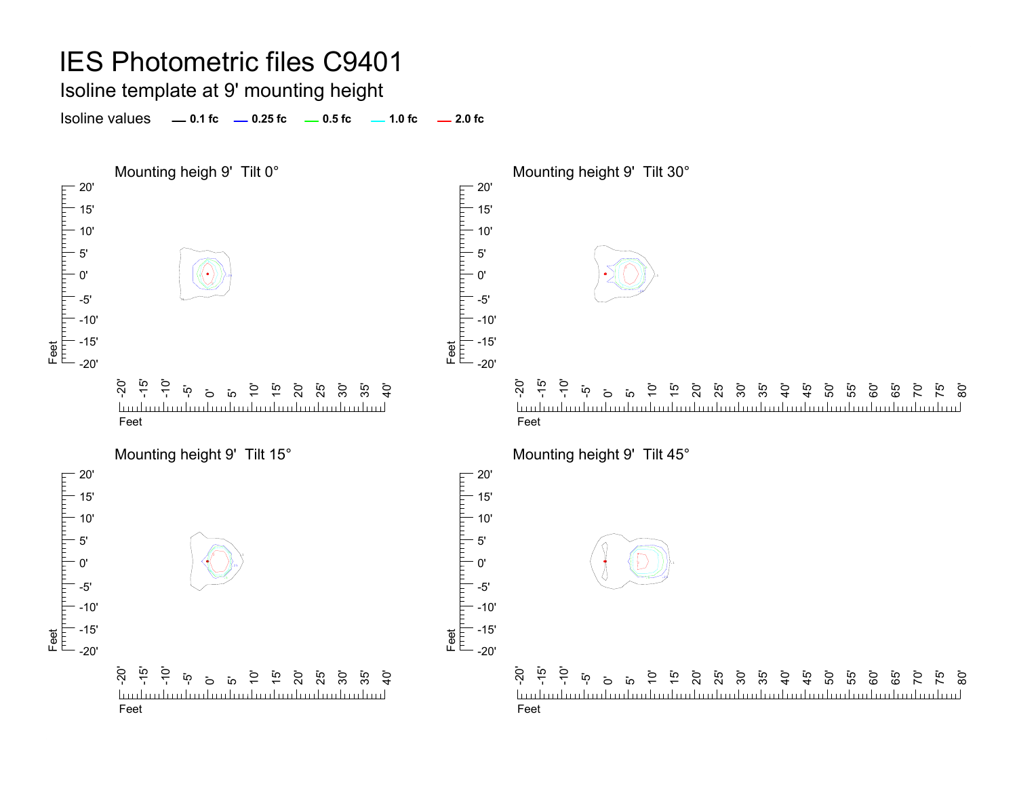#### Isoline template at 9' mounting height

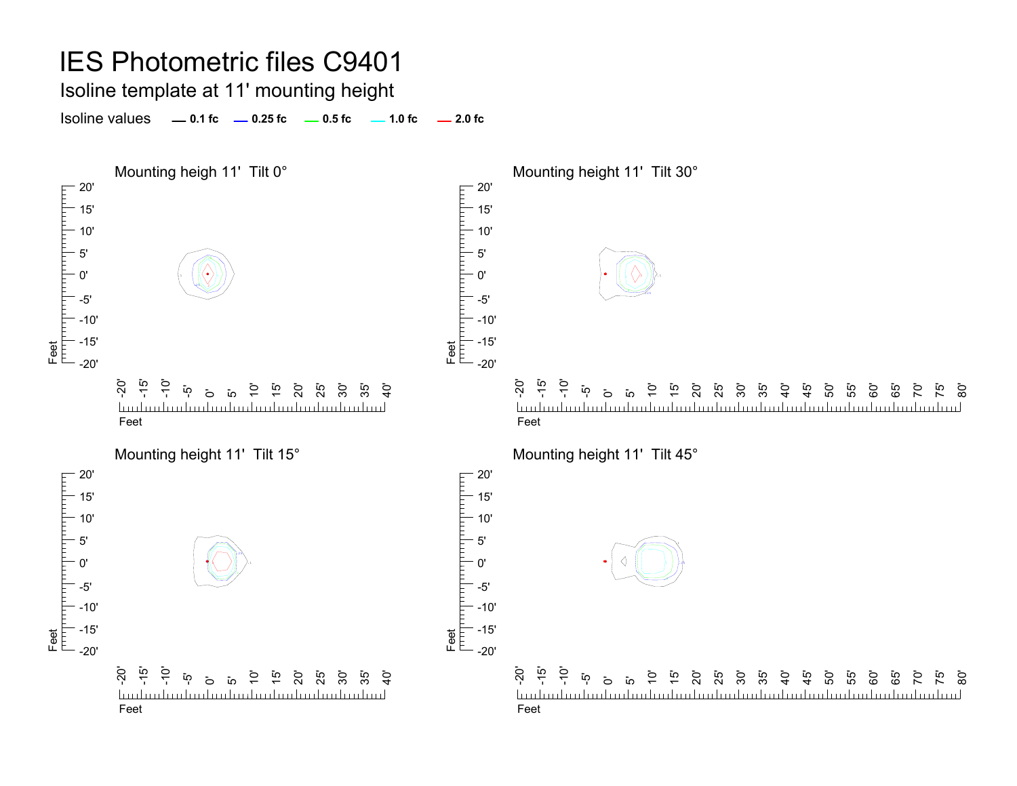Isoline template at 11' mounting height

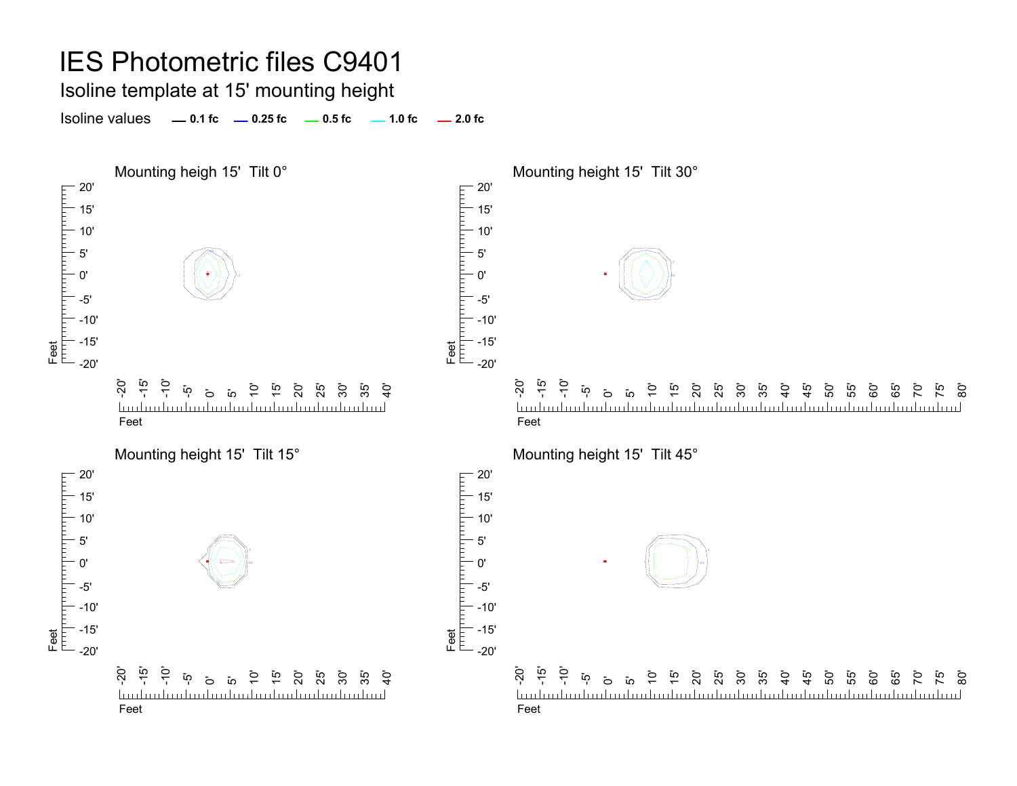Isoline template at 15' mounting height

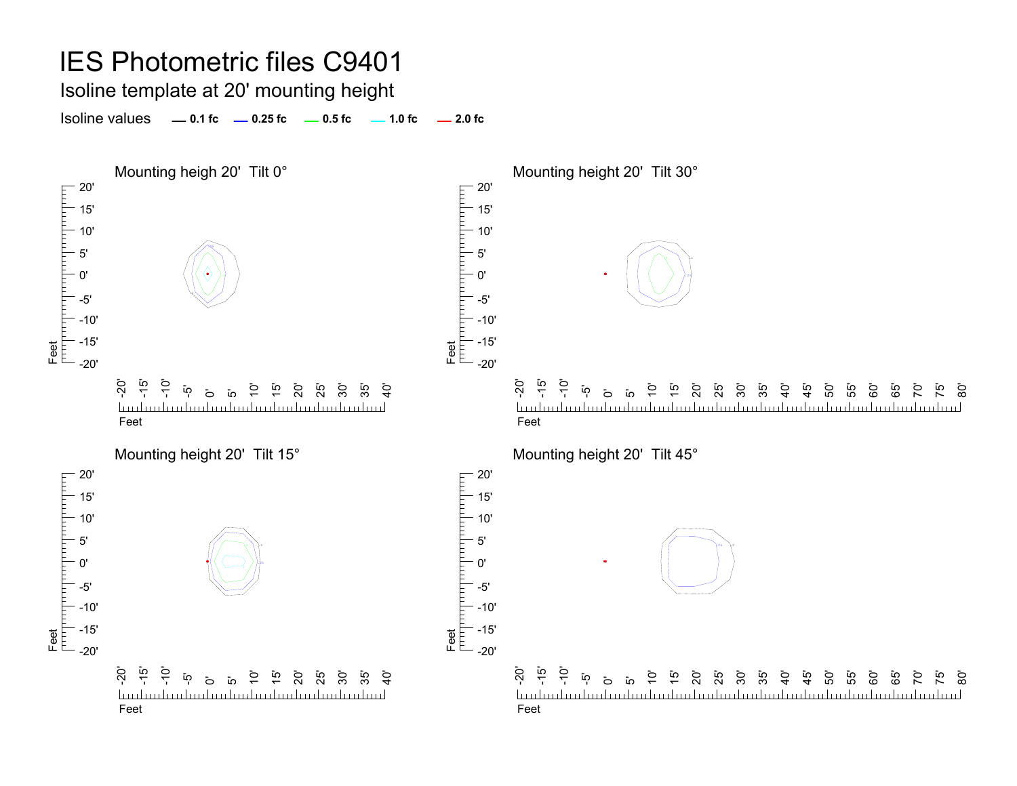Isoline template at 20' mounting height